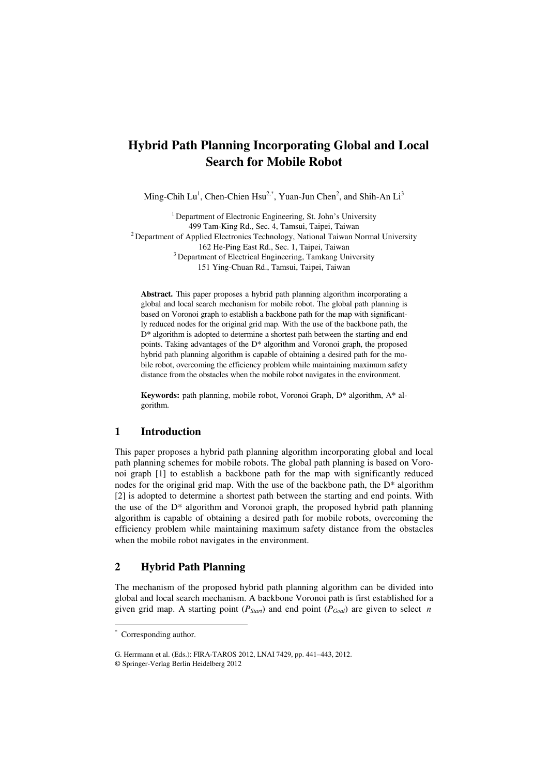# **Hybrid Path Planning Incorporating Global and Local Search for Mobile Robot**

Ming-Chih Lu<sup>1</sup>, Chen-Chien Hsu<sup>2,\*</sup>, Yuan-Jun Chen<sup>2</sup>, and Shih-An Li<sup>3</sup>

<sup>1</sup> Department of Electronic Engineering, St. John's University 499 Tam-King Rd., Sec. 4, Tamsui, Taipei, Taiwan 2 Department of Applied Electronics Technology, National Taiwan Normal University 162 He-Ping East Rd., Sec. 1, Taipei, Taiwan 3 Department of Electrical Engineering, Tamkang University 151 Ying-Chuan Rd., Tamsui, Taipei, Taiwan

**Abstract.** This paper proposes a hybrid path planning algorithm incorporating a global and local search mechanism for mobile robot. The global path planning is based on Voronoi graph to establish a backbone path for the map with significantly reduced nodes for the original grid map. With the use of the backbone path, the D\* algorithm is adopted to determine a shortest path between the starting and end points. Taking advantages of the D\* algorithm and Voronoi graph, the proposed hybrid path planning algorithm is capable of obtaining a desired path for the mobile robot, overcoming the efficiency problem while maintaining maximum safety distance from the obstacles when the mobile robot navigates in the environment.

**Keywords:** path planning, mobile robot, Voronoi Graph, D\* algorithm, A\* algorithm.

## **1 Introduction**

This paper proposes a hybrid path planning algorithm incorporating global and local path planning schemes for mobile robots. The global path planning is based on Voronoi graph [1] to establish a backbone path for the map with significantly reduced nodes for the original grid map. With the use of the backbone path, the  $D^*$  algorithm [2] is adopted to determine a shortest path between the starting and end points. With the use of the D\* algorithm and Voronoi graph, the proposed hybrid path planning algorithm is capable of obtaining a desired path for mobile robots, overcoming the efficiency problem while maintaining maximum safety distance from the obstacles when the mobile robot navigates in the environment.

# **2 Hybrid Path Planning**

The mechanism of the proposed hybrid path planning algorithm can be divided into global and local search mechanism. A backbone Voronoi path is first established for a given grid map. A starting point ( $P_{S(\text{part})}$  and end point ( $P_{Goal}$ ) are given to select *n* 

-

<sup>\*</sup> Corresponding author.

G. Herrmann et al. (Eds.): FIRA-TAROS 2012, LNAI 7429, pp. 441–443, 2012.

<sup>©</sup> Springer-Verlag Berlin Heidelberg 2012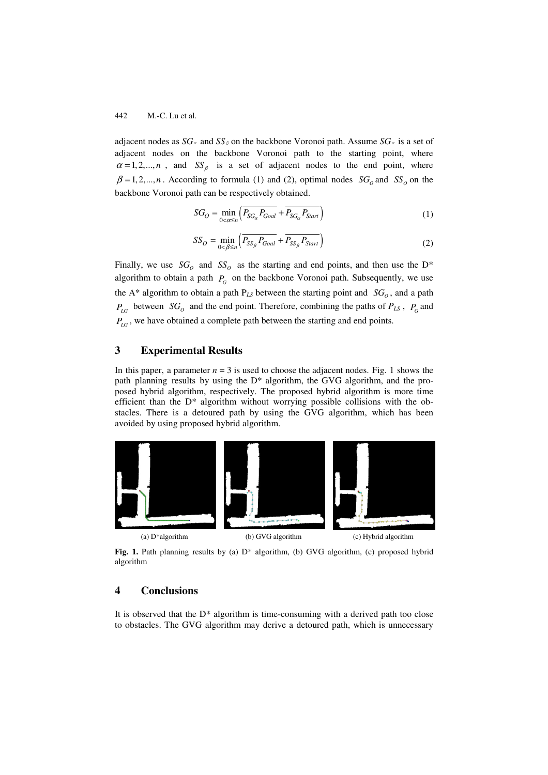#### 442 M.-C. Lu et al.

adjacent nodes as  $SG_{\alpha}$  and  $SS_{\beta}$  on the backbone Voronoi path. Assume  $SG_{\alpha}$  is a set of adjacent nodes on the backbone Voronoi path to the starting point, where  $\alpha = 1, 2, \dots, n$ , and  $SS_{\beta}$  is a set of adjacent nodes to the end point, where  $\beta = 1, 2, \dots, n$ . According to formula (1) and (2), optimal nodes  $SG<sub>o</sub>$  and  $SS<sub>o</sub>$  on the backbone Voronoi path can be respectively obtained.

$$
SG_O = \min_{0 < \alpha \le n} \left( \overline{P_{SG_\alpha} P_{Goal}} + \overline{P_{SG_\alpha} P_{Start}} \right) \tag{1}
$$

$$
SS_O = \min_{0 < \beta \le n} \left( \overline{P_{SS_\beta} P_{Goal}} + \overline{P_{SS_\beta} P_{Start}} \right) \tag{2}
$$

Finally, we use  $SG_0$  and  $SS_0$  as the starting and end points, and then use the D<sup>\*</sup> algorithm to obtain a path  $P_G$  on the backbone Voronoi path. Subsequently, we use the A<sup>\*</sup> algorithm to obtain a path  $P_{LS}$  between the starting point and  $SG<sub>o</sub>$ , and a path  $P_{LG}$  between *SG*<sub>o</sub> and the end point. Therefore, combining the paths of  $P_{LS}$ ,  $P_G$  and *P<sub>LG</sub>*, we have obtained a complete path between the starting and end points.

# **3 Experimental Results**

In this paper, a parameter  $n = 3$  is used to choose the adjacent nodes. Fig. 1 shows the path planning results by using the D\* algorithm, the GVG algorithm, and the proposed hybrid algorithm, respectively. The proposed hybrid algorithm is more time efficient than the  $D^*$  algorithm without worrying possible collisions with the obstacles. There is a detoured path by using the GVG algorithm, which has been avoided by using proposed hybrid algorithm.



Fig. 1. Path planning results by (a)  $D^*$  algorithm, (b) GVG algorithm, (c) proposed hybrid algorithm

# **4 Conclusions**

It is observed that the  $D^*$  algorithm is time-consuming with a derived path too close to obstacles. The GVG algorithm may derive a detoured path, which is unnecessary